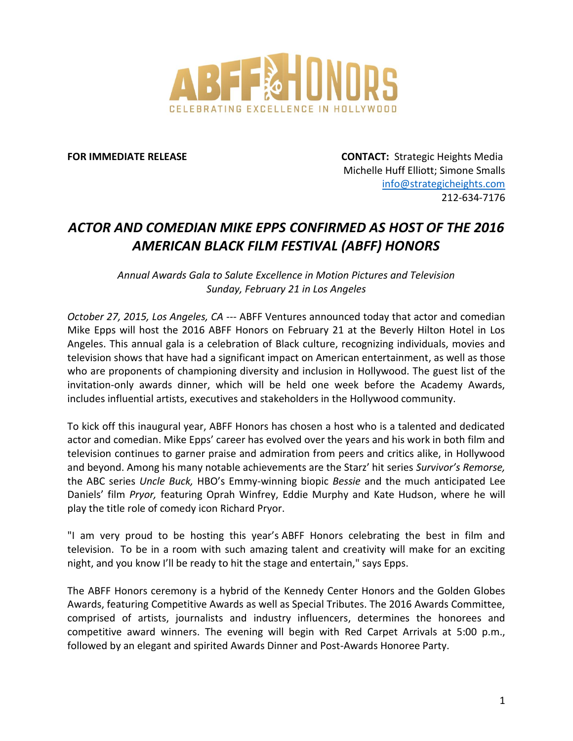

**FOR IMMEDIATE RELEASE CONTACT:** Strategic Heights Media Michelle Huff Elliott; Simone Smalls [info@strategicheights.com](mailto:info@strategicheights.com) 212-634-7176

## *ACTOR AND COMEDIAN MIKE EPPS CONFIRMED AS HOST OF THE 2016 AMERICAN BLACK FILM FESTIVAL (ABFF) HONORS*

*Annual Awards Gala to Salute Excellence in Motion Pictures and Television Sunday, February 21 in Los Angeles*

*October 27, 2015, Los Angeles, CA* --- ABFF Ventures announced today that actor and comedian Mike Epps will host the 2016 ABFF Honors on February 21 at the Beverly Hilton Hotel in Los Angeles. This annual gala is a celebration of Black culture, recognizing individuals, movies and television shows that have had a significant impact on American entertainment, as well as those who are proponents of championing diversity and inclusion in Hollywood. The guest list of the invitation-only awards dinner, which will be held one week before the Academy Awards, includes influential artists, executives and stakeholders in the Hollywood community.

To kick off this inaugural year, ABFF Honors has chosen a host who is a talented and dedicated actor and comedian. Mike Epps' career has evolved over the years and his work in both film and television continues to garner praise and admiration from peers and critics alike, in Hollywood and beyond. Among his many notable achievements are the Starz' hit series *Survivor's Remorse,* the ABC series *Uncle Buck,* HBO's Emmy-winning biopic *Bessie* and the much anticipated Lee Daniels' film *Pryor,* featuring Oprah Winfrey, Eddie Murphy and Kate Hudson, where he will play the title role of comedy icon Richard Pryor.

"I am very proud to be hosting this year's ABFF Honors celebrating the best in film and television. To be in a room with such amazing talent and creativity will make for an exciting night, and you know I'll be ready to hit the stage and entertain," says Epps.

The ABFF Honors ceremony is a hybrid of the Kennedy Center Honors and the Golden Globes Awards, featuring Competitive Awards as well as Special Tributes. The 2016 Awards Committee, comprised of artists, journalists and industry influencers, determines the honorees and competitive award winners. The evening will begin with Red Carpet Arrivals at 5:00 p.m., followed by an elegant and spirited Awards Dinner and Post-Awards Honoree Party.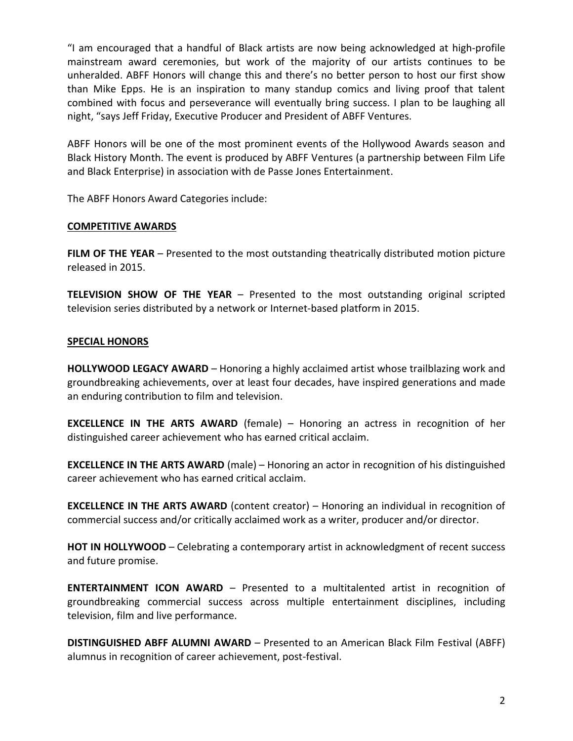"I am encouraged that a handful of Black artists are now being acknowledged at high-profile mainstream award ceremonies, but work of the majority of our artists continues to be unheralded. ABFF Honors will change this and there's no better person to host our first show than Mike Epps. He is an inspiration to many standup comics and living proof that talent combined with focus and perseverance will eventually bring success. I plan to be laughing all night, "says Jeff Friday, Executive Producer and President of ABFF Ventures.

ABFF Honors will be one of the most prominent events of the Hollywood Awards season and Black History Month. The event is produced by ABFF Ventures (a partnership between Film Life and Black Enterprise) in association with de Passe Jones Entertainment.

The ABFF Honors Award Categories include:

## **COMPETITIVE AWARDS**

**FILM OF THE YEAR** – Presented to the most outstanding theatrically distributed motion picture released in 2015.

**TELEVISION SHOW OF THE YEAR** – Presented to the most outstanding original scripted television series distributed by a network or Internet-based platform in 2015.

## **SPECIAL HONORS**

**HOLLYWOOD LEGACY AWARD** – Honoring a highly acclaimed artist whose trailblazing work and groundbreaking achievements, over at least four decades, have inspired generations and made an enduring contribution to film and television.

**EXCELLENCE IN THE ARTS AWARD** (female) – Honoring an actress in recognition of her distinguished career achievement who has earned critical acclaim.

**EXCELLENCE IN THE ARTS AWARD** (male) – Honoring an actor in recognition of his distinguished career achievement who has earned critical acclaim.

**EXCELLENCE IN THE ARTS AWARD** (content creator) – Honoring an individual in recognition of commercial success and/or critically acclaimed work as a writer, producer and/or director.

**HOT IN HOLLYWOOD** – Celebrating a contemporary artist in acknowledgment of recent success and future promise.

**ENTERTAINMENT ICON AWARD** – Presented to a multitalented artist in recognition of groundbreaking commercial success across multiple entertainment disciplines, including television, film and live performance.

**DISTINGUISHED ABFF ALUMNI AWARD** – Presented to an American Black Film Festival (ABFF) alumnus in recognition of career achievement, post-festival.